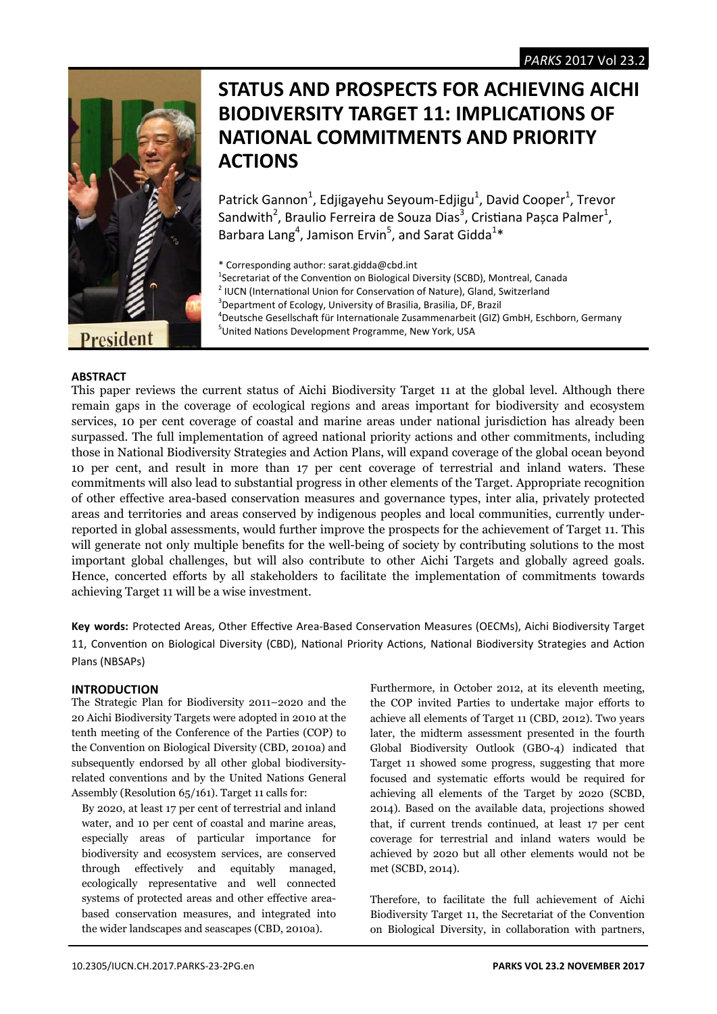

# **STATUS AND PROSPECTS FOR ACHIEVING AICHI BIODIVERSITY TARGET 11: IMPLICATIONS OF NATIONAL COMMITMENTS AND PRIORITY ACTIONS**

Patrick Gannon<sup>1</sup>, Edjigayehu Seyoum-Edjigu<sup>1</sup>, David Cooper<sup>1</sup>, Trevor Sandwith<sup>2</sup>, Braulio Ferreira de Souza Dias<sup>3</sup>, Cristiana Pașca Palmer<sup>1</sup>, Barbara Lang<sup>4</sup>, Jamison Ervin<sup>5</sup>, and Sarat Gidda<sup>1\*</sup>

\* Corresponding author: sarat.gidda@cbd.int

<sup>1</sup>Secretariat of the Convention on Biological Diversity (SCBD), Montreal, Canada<br><sup>2</sup> U.C.N. (International Union for Conconstion of Nature), Cland, Switzgrland

<sup>4</sup>Deutsche Gesellschaft für Internationale Zusammenarbeit (GIZ) GmbH, Eschborn, Germany <sup>5</sup>United Nations Development Programme, New York, USA

# **ABSTRACT**

This paper reviews the current status of Aichi Biodiversity Target 11 at the global level. Although there remain gaps in the coverage of ecological regions and areas important for biodiversity and ecosystem services, 10 per cent coverage of coastal and marine areas under national jurisdiction has already been surpassed. The full implementation of agreed national priority actions and other commitments, including those in National Biodiversity Strategies and Action Plans, will expand coverage of the global ocean beyond 10 per cent, and result in more than 17 per cent coverage of terrestrial and inland waters. These commitments will also lead to substantial progress in other elements of the Target. Appropriate recognition of other effective area-based conservation measures and governance types, inter alia, privately protected areas and territories and areas conserved by indigenous peoples and local communities, currently underreported in global assessments, would further improve the prospects for the achievement of Target 11. This will generate not only multiple benefits for the well-being of society by contributing solutions to the most important global challenges, but will also contribute to other Aichi Targets and globally agreed goals. Hence, concerted efforts by all stakeholders to facilitate the implementation of commitments towards achieving Target 11 will be a wise investment.

Key words: Protected Areas, Other Effective Area-Based Conservation Measures (OECMs), Aichi Biodiversity Target 11, Convention on Biological Diversity (CBD), National Priority Actions, National Biodiversity Strategies and Action Plans (NBSAPs)

# **INTRODUCTION**

The Strategic Plan for Biodiversity 2011–2020 and the 20 Aichi Biodiversity Targets were adopted in 2010 at the tenth meeting of the Conference of the Parties (COP) to the Convention on Biological Diversity (CBD, 2010a) and subsequently endorsed by all other global biodiversityrelated conventions and by the United Nations General Assembly (Resolution 65/161). Target 11 calls for:

By 2020, at least 17 per cent of terrestrial and inland water, and 10 per cent of coastal and marine areas, especially areas of particular importance for biodiversity and ecosystem services, are conserved through effectively and equitably managed, ecologically representative and well connected systems of protected areas and other effective areabased conservation measures, and integrated into the wider landscapes and seascapes (CBD, 2010a).

Furthermore, in October 2012, at its eleventh meeting, the COP invited Parties to undertake major efforts to achieve all elements of Target 11 (CBD, 2012). Two years later, the midterm assessment presented in the fourth Global Biodiversity Outlook (GBO-4) indicated that Target 11 showed some progress, suggesting that more focused and systematic efforts would be required for achieving all elements of the Target by 2020 (SCBD, 2014). Based on the available data, projections showed that, if current trends continued, at least 17 per cent coverage for terrestrial and inland waters would be achieved by 2020 but all other elements would not be met (SCBD, 2014).

Therefore, to facilitate the full achievement of Aichi Biodiversity Target 11, the Secretariat of the Convention on Biological Diversity, in collaboration with partners,

 $<sup>2</sup>$  IUCN (International Union for Conservation of Nature), Gland, Switzerland</sup>

<sup>&</sup>lt;sup>3</sup> Department of Ecology, University of Brasilia, Brasilia, DF, Brazil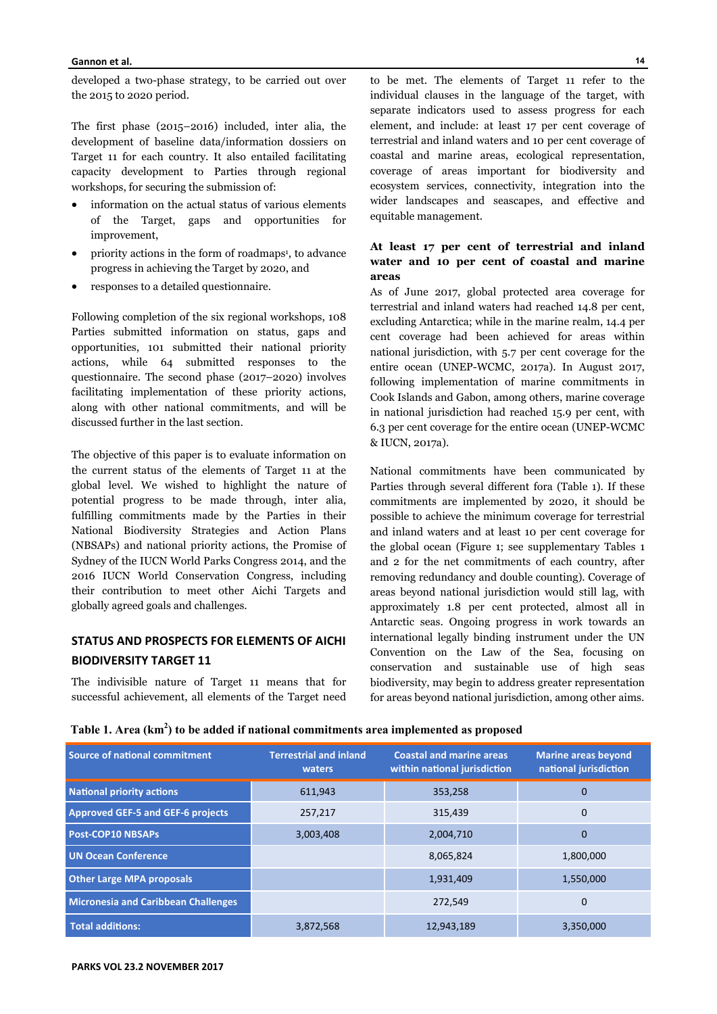developed a two-phase strategy, to be carried out over the 2015 to 2020 period.

The first phase (2015–2016) included, inter alia, the development of baseline data/information dossiers on Target 11 for each country. It also entailed facilitating capacity development to Parties through regional workshops, for securing the submission of:

- information on the actual status of various elements of the Target, gaps and opportunities for improvement,
- priority actions in the form of roadmaps<sup>1</sup>, to advance progress in achieving the Target by 2020, and
- responses to a detailed questionnaire.

Following completion of the six regional workshops, 108 Parties submitted information on status, gaps and opportunities, 101 submitted their national priority actions, while 64 submitted responses to the questionnaire. The second phase (2017–2020) involves facilitating implementation of these priority actions, along with other national commitments, and will be discussed further in the last section.

The objective of this paper is to evaluate information on the current status of the elements of Target 11 at the global level. We wished to highlight the nature of potential progress to be made through, inter alia, fulfilling commitments made by the Parties in their National Biodiversity Strategies and Action Plans (NBSAPs) and national priority actions, the Promise of Sydney of the IUCN World Parks Congress 2014, and the 2016 IUCN World Conservation Congress, including their contribution to meet other Aichi Targets and globally agreed goals and challenges.

# **STATUS AND PROSPECTS FOR ELEMENTS OF AICHI BIODIVERSITY TARGET 11**

The indivisible nature of Target 11 means that for successful achievement, all elements of the Target need

to be met. The elements of Target 11 refer to the individual clauses in the language of the target, with separate indicators used to assess progress for each element, and include: at least 17 per cent coverage of terrestrial and inland waters and 10 per cent coverage of coastal and marine areas, ecological representation, coverage of areas important for biodiversity and ecosystem services, connectivity, integration into the wider landscapes and seascapes, and effective and equitable management.

# **At least 17 per cent of terrestrial and inland water and 10 per cent of coastal and marine areas**

As of June 2017, global protected area coverage for terrestrial and inland waters had reached 14.8 per cent, excluding Antarctica; while in the marine realm, 14.4 per cent coverage had been achieved for areas within national jurisdiction, with 5.7 per cent coverage for the entire ocean (UNEP-WCMC, 2017a). In August 2017, following implementation of marine commitments in Cook Islands and Gabon, among others, marine coverage in national jurisdiction had reached 15.9 per cent, with 6.3 per cent coverage for the entire ocean (UNEP-WCMC & IUCN, 2017a).

National commitments have been communicated by Parties through several different fora (Table 1). If these commitments are implemented by 2020, it should be possible to achieve the minimum coverage for terrestrial and inland waters and at least 10 per cent coverage for the global ocean (Figure 1; see supplementary Tables 1 and 2 for the net commitments of each country, after removing redundancy and double counting). Coverage of areas beyond national jurisdiction would still lag, with approximately 1.8 per cent protected, almost all in Antarctic seas. Ongoing progress in work towards an international legally binding instrument under the UN Convention on the Law of the Sea, focusing on conservation and sustainable use of high seas biodiversity, may begin to address greater representation for areas beyond national jurisdiction, among other aims.

| fable 1. Area (km <sup>2</sup> ) to be added if national commitments area implemented as proposed |  |  |  |  |
|---------------------------------------------------------------------------------------------------|--|--|--|--|
|                                                                                                   |  |  |  |  |
|                                                                                                   |  |  |  |  |
|                                                                                                   |  |  |  |  |

| <b>Source of national commitment</b>       | <b>Terrestrial and inland</b><br>waters | <b>Coastal and marine areas</b><br>within national jurisdiction | <b>Marine areas beyond</b><br>national jurisdiction |
|--------------------------------------------|-----------------------------------------|-----------------------------------------------------------------|-----------------------------------------------------|
| <b>National priority actions</b>           | 611,943                                 | 353,258                                                         | 0                                                   |
| <b>Approved GEF-5 and GEF-6 projects</b>   | 257,217                                 | 315.439                                                         | 0                                                   |
| <b>Post-COP10 NBSAPs</b>                   | 3,003,408                               | 2,004,710                                                       | $\mathbf 0$                                         |
| <b>UN Ocean Conference</b>                 |                                         | 8,065,824                                                       | 1,800,000                                           |
| <b>Other Large MPA proposals</b>           |                                         | 1,931,409                                                       | 1,550,000                                           |
| <b>Micronesia and Caribbean Challenges</b> |                                         | 272.549                                                         | $\mathbf 0$                                         |
| <b>Total additions:</b>                    | 3,872,568                               | 12,943,189                                                      | 3,350,000                                           |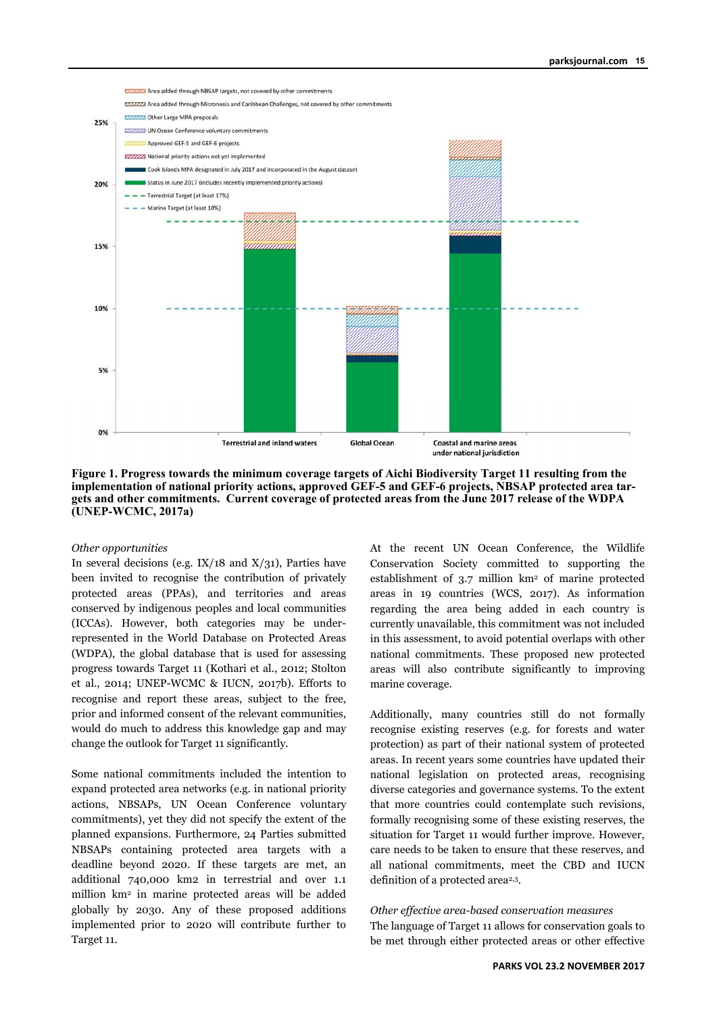

### **Figure 1. Progress towards the minimum coverage targets of Aichi Biodiversity Target 11 resulting from the implementation of national priority actions, approved GEF-5 and GEF-6 projects, NBSAP protected area targets and other commitments. Current coverage of protected areas from the June 2017 release of the WDPA (UNEP-WCMC, 2017a)**

## *Other opportunities*

In several decisions (e.g.  $IX/18$  and  $X/31$ ), Parties have been invited to recognise the contribution of privately protected areas (PPAs), and territories and areas conserved by indigenous peoples and local communities (ICCAs). However, both categories may be underrepresented in the World Database on Protected Areas (WDPA), the global database that is used for assessing progress towards Target 11 (Kothari et al., 2012; Stolton et al., 2014; UNEP-WCMC & IUCN, 2017b). Efforts to recognise and report these areas, subject to the free, prior and informed consent of the relevant communities, would do much to address this knowledge gap and may change the outlook for Target 11 significantly.

Some national commitments included the intention to expand protected area networks (e.g. in national priority actions, NBSAPs, UN Ocean Conference voluntary commitments), yet they did not specify the extent of the planned expansions. Furthermore, 24 Parties submitted NBSAPs containing protected area targets with a deadline beyond 2020. If these targets are met, an additional 740,000 km2 in terrestrial and over 1.1 million km2 in marine protected areas will be added globally by 2030. Any of these proposed additions implemented prior to 2020 will contribute further to Target 11.

At the recent UN Ocean Conference, the Wildlife Conservation Society committed to supporting the establishment of 3.7 million km2 of marine protected areas in 19 countries (WCS, 2017). As information regarding the area being added in each country is currently unavailable, this commitment was not included in this assessment, to avoid potential overlaps with other national commitments. These proposed new protected areas will also contribute significantly to improving marine coverage.

Additionally, many countries still do not formally recognise existing reserves (e.g. for forests and water protection) as part of their national system of protected areas. In recent years some countries have updated their national legislation on protected areas, recognising diverse categories and governance systems. To the extent that more countries could contemplate such revisions, formally recognising some of these existing reserves, the situation for Target 11 would further improve. However, care needs to be taken to ensure that these reserves, and all national commitments, meet the CBD and IUCN definition of a protected area<sup>2,3</sup>.

*Other effective area-based conservation measures*  The language of Target 11 allows for conservation goals to be met through either protected areas or other effective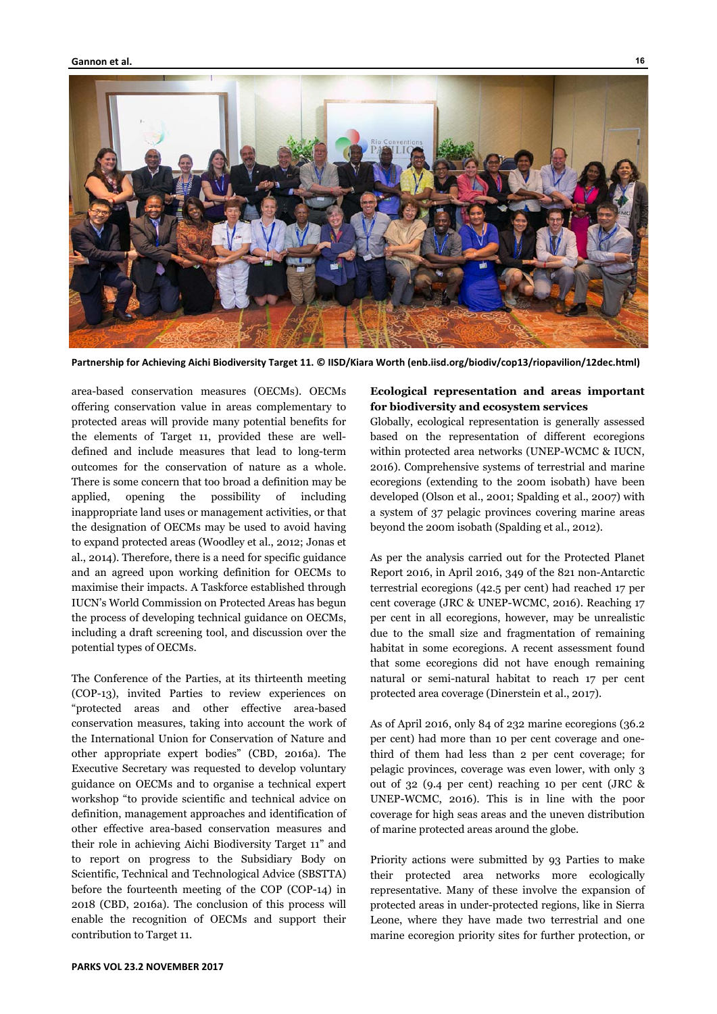

**Partnership for Achieving Aichi Biodiversity Target 11. © IISD/Kiara Worth (enb.iisd.org/biodiv/cop13/riopavilion/12dec.html)** 

area-based conservation measures (OECMs). OECMs offering conservation value in areas complementary to protected areas will provide many potential benefits for the elements of Target 11, provided these are welldefined and include measures that lead to long-term outcomes for the conservation of nature as a whole. There is some concern that too broad a definition may be applied, opening the possibility of including inappropriate land uses or management activities, or that the designation of OECMs may be used to avoid having to expand protected areas (Woodley et al., 2012; Jonas et al., 2014). Therefore, there is a need for specific guidance and an agreed upon working definition for OECMs to maximise their impacts. A Taskforce established through IUCN's World Commission on Protected Areas has begun the process of developing technical guidance on OECMs, including a draft screening tool, and discussion over the potential types of OECMs.

The Conference of the Parties, at its thirteenth meeting (COP-13), invited Parties to review experiences on "protected areas and other effective area-based conservation measures, taking into account the work of the International Union for Conservation of Nature and other appropriate expert bodies" (CBD, 2016a). The Executive Secretary was requested to develop voluntary guidance on OECMs and to organise a technical expert workshop "to provide scientific and technical advice on definition, management approaches and identification of other effective area-based conservation measures and their role in achieving Aichi Biodiversity Target 11" and to report on progress to the Subsidiary Body on Scientific, Technical and Technological Advice (SBSTTA) before the fourteenth meeting of the COP (COP-14) in 2018 (CBD, 2016a). The conclusion of this process will enable the recognition of OECMs and support their contribution to Target 11.

# **Ecological representation and areas important for biodiversity and ecosystem services**

Globally, ecological representation is generally assessed based on the representation of different ecoregions within protected area networks (UNEP-WCMC & IUCN, 2016). Comprehensive systems of terrestrial and marine ecoregions (extending to the 200m isobath) have been developed (Olson et al., 2001; Spalding et al., 2007) with a system of 37 pelagic provinces covering marine areas beyond the 200m isobath (Spalding et al., 2012).

As per the analysis carried out for the Protected Planet Report 2016, in April 2016, 349 of the 821 non-Antarctic terrestrial ecoregions (42.5 per cent) had reached 17 per cent coverage (JRC & UNEP-WCMC, 2016). Reaching 17 per cent in all ecoregions, however, may be unrealistic due to the small size and fragmentation of remaining habitat in some ecoregions. A recent assessment found that some ecoregions did not have enough remaining natural or semi-natural habitat to reach 17 per cent protected area coverage (Dinerstein et al., 2017).

As of April 2016, only 84 of 232 marine ecoregions (36.2 per cent) had more than 10 per cent coverage and onethird of them had less than 2 per cent coverage; for pelagic provinces, coverage was even lower, with only 3 out of 32 (9.4 per cent) reaching 10 per cent (JRC & UNEP-WCMC, 2016). This is in line with the poor coverage for high seas areas and the uneven distribution of marine protected areas around the globe.

Priority actions were submitted by 93 Parties to make their protected area networks more ecologically representative. Many of these involve the expansion of protected areas in under-protected regions, like in Sierra Leone, where they have made two terrestrial and one marine ecoregion priority sites for further protection, or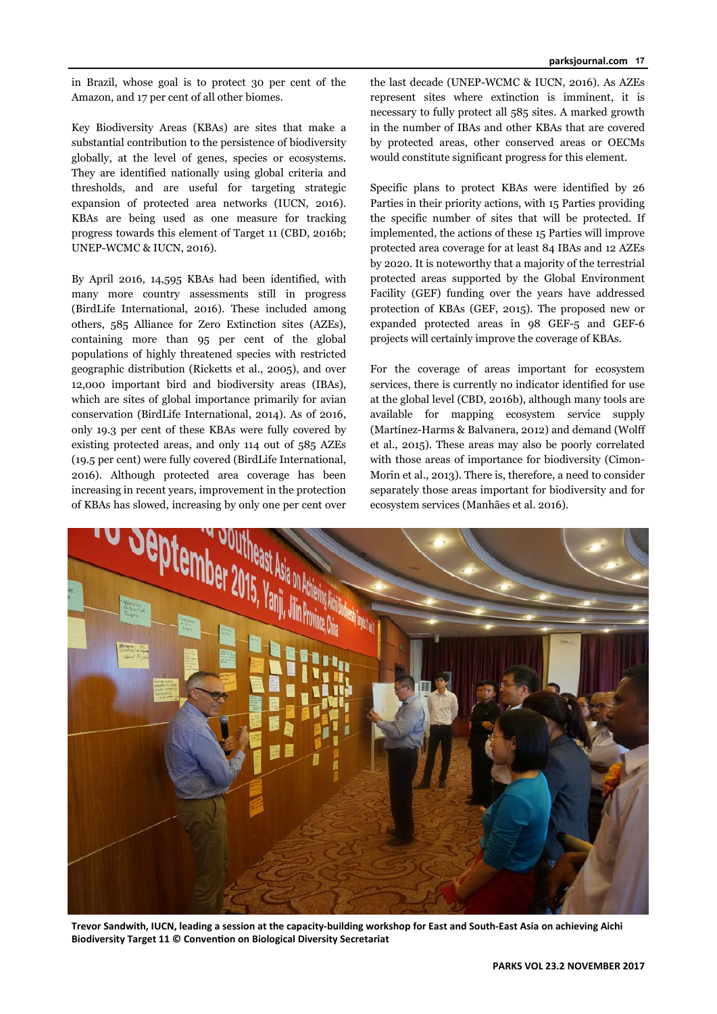in Brazil, whose goal is to protect 30 per cent of the Amazon, and 17 per cent of all other biomes.

Key Biodiversity Areas (KBAs) are sites that make a substantial contribution to the persistence of biodiversity globally, at the level of genes, species or ecosystems. They are identified nationally using global criteria and thresholds, and are useful for targeting strategic expansion of protected area networks (IUCN, 2016). KBAs are being used as one measure for tracking progress towards this element of Target 11 (CBD, 2016b; UNEP-WCMC & IUCN, 2016).

By April 2016, 14,595 KBAs had been identified, with many more country assessments still in progress (BirdLife International, 2016). These included among others, 585 Alliance for Zero Extinction sites (AZEs), containing more than 95 per cent of the global populations of highly threatened species with restricted geographic distribution (Ricketts et al., 2005), and over 12,000 important bird and biodiversity areas (IBAs), which are sites of global importance primarily for avian conservation (BirdLife International, 2014). As of 2016, only 19.3 per cent of these KBAs were fully covered by existing protected areas, and only 114 out of 585 AZEs (19.5 per cent) were fully covered (BirdLife International, 2016). Although protected area coverage has been increasing in recent years, improvement in the protection of KBAs has slowed, increasing by only one per cent over

the last decade (UNEP-WCMC & IUCN, 2016). As AZEs represent sites where extinction is imminent, it is necessary to fully protect all 585 sites. A marked growth in the number of IBAs and other KBAs that are covered by protected areas, other conserved areas or OECMs would constitute significant progress for this element.

Specific plans to protect KBAs were identified by 26 Parties in their priority actions, with 15 Parties providing the specific number of sites that will be protected. If implemented, the actions of these 15 Parties will improve protected area coverage for at least 84 IBAs and 12 AZEs by 2020. It is noteworthy that a majority of the terrestrial protected areas supported by the Global Environment Facility (GEF) funding over the years have addressed protection of KBAs (GEF, 2015). The proposed new or expanded protected areas in 98 GEF-5 and GEF-6 projects will certainly improve the coverage of KBAs.

For the coverage of areas important for ecosystem services, there is currently no indicator identified for use at the global level (CBD, 2016b), although many tools are available for mapping ecosystem service supply (Martínez-Harms & Balvanera, 2012) and demand (Wolff et al., 2015). These areas may also be poorly correlated with those areas of importance for biodiversity (Cimon-Morin et al., 2013). There is, therefore, a need to consider separately those areas important for biodiversity and for ecosystem services (Manhães et al. 2016).



**Trevor Sandwith, IUCN, leading a session at the capacity‐building workshop for East and South‐East Asia on achieving Aichi Biodiversity Target 11 © Convention on Biological Diversity Secretariat**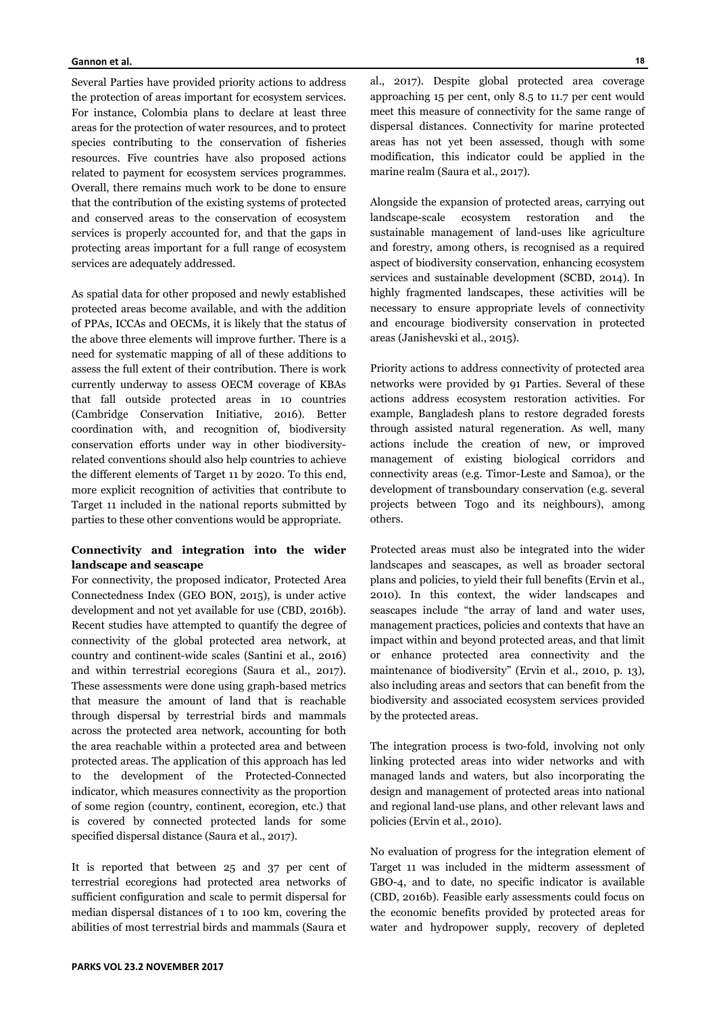Several Parties have provided priority actions to address the protection of areas important for ecosystem services. For instance, Colombia plans to declare at least three areas for the protection of water resources, and to protect species contributing to the conservation of fisheries resources. Five countries have also proposed actions related to payment for ecosystem services programmes. Overall, there remains much work to be done to ensure that the contribution of the existing systems of protected and conserved areas to the conservation of ecosystem services is properly accounted for, and that the gaps in protecting areas important for a full range of ecosystem services are adequately addressed.

As spatial data for other proposed and newly established protected areas become available, and with the addition of PPAs, ICCAs and OECMs, it is likely that the status of the above three elements will improve further. There is a need for systematic mapping of all of these additions to assess the full extent of their contribution. There is work currently underway to assess OECM coverage of KBAs that fall outside protected areas in 10 countries (Cambridge Conservation Initiative, 2016). Better coordination with, and recognition of, biodiversity conservation efforts under way in other biodiversityrelated conventions should also help countries to achieve the different elements of Target 11 by 2020. To this end, more explicit recognition of activities that contribute to Target 11 included in the national reports submitted by parties to these other conventions would be appropriate.

# **Connectivity and integration into the wider landscape and seascape**

For connectivity, the proposed indicator, Protected Area Connectedness Index (GEO BON, 2015), is under active development and not yet available for use (CBD, 2016b). Recent studies have attempted to quantify the degree of connectivity of the global protected area network, at country and continent-wide scales (Santini et al., 2016) and within terrestrial ecoregions (Saura et al., 2017). These assessments were done using graph-based metrics that measure the amount of land that is reachable through dispersal by terrestrial birds and mammals across the protected area network, accounting for both the area reachable within a protected area and between protected areas. The application of this approach has led to the development of the Protected-Connected indicator, which measures connectivity as the proportion of some region (country, continent, ecoregion, etc.) that is covered by connected protected lands for some specified dispersal distance (Saura et al., 2017).

It is reported that between 25 and 37 per cent of terrestrial ecoregions had protected area networks of sufficient configuration and scale to permit dispersal for median dispersal distances of 1 to 100 km, covering the abilities of most terrestrial birds and mammals (Saura et

al., 2017). Despite global protected area coverage approaching 15 per cent, only 8.5 to 11.7 per cent would meet this measure of connectivity for the same range of dispersal distances. Connectivity for marine protected areas has not yet been assessed, though with some modification, this indicator could be applied in the marine realm (Saura et al., 2017).

Alongside the expansion of protected areas, carrying out landscape-scale ecosystem restoration and the sustainable management of land-uses like agriculture and forestry, among others, is recognised as a required aspect of biodiversity conservation, enhancing ecosystem services and sustainable development (SCBD, 2014). In highly fragmented landscapes, these activities will be necessary to ensure appropriate levels of connectivity and encourage biodiversity conservation in protected areas (Janishevski et al., 2015).

Priority actions to address connectivity of protected area networks were provided by 91 Parties. Several of these actions address ecosystem restoration activities. For example, Bangladesh plans to restore degraded forests through assisted natural regeneration. As well, many actions include the creation of new, or improved management of existing biological corridors and connectivity areas (e.g. Timor-Leste and Samoa), or the development of transboundary conservation (e.g. several projects between Togo and its neighbours), among others.

Protected areas must also be integrated into the wider landscapes and seascapes, as well as broader sectoral plans and policies, to yield their full benefits (Ervin et al., 2010). In this context, the wider landscapes and seascapes include "the array of land and water uses, management practices, policies and contexts that have an impact within and beyond protected areas, and that limit or enhance protected area connectivity and the maintenance of biodiversity" (Ervin et al., 2010, p. 13), also including areas and sectors that can benefit from the biodiversity and associated ecosystem services provided by the protected areas.

The integration process is two-fold, involving not only linking protected areas into wider networks and with managed lands and waters, but also incorporating the design and management of protected areas into national and regional land-use plans, and other relevant laws and policies (Ervin et al., 2010).

No evaluation of progress for the integration element of Target 11 was included in the midterm assessment of GBO-4, and to date, no specific indicator is available (CBD, 2016b). Feasible early assessments could focus on the economic benefits provided by protected areas for water and hydropower supply, recovery of depleted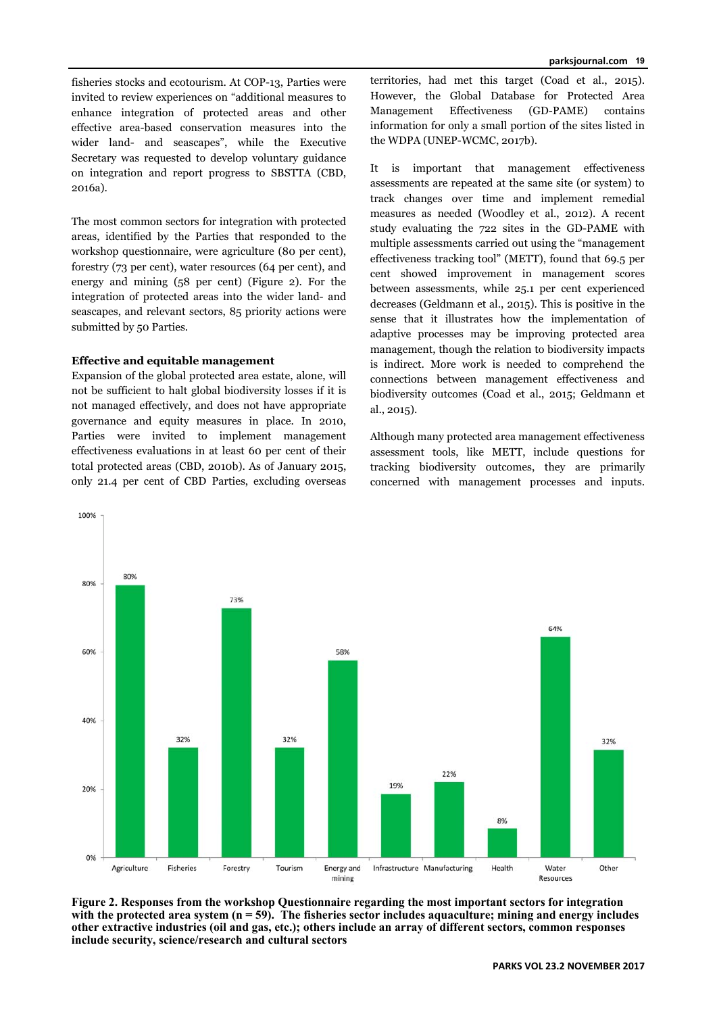fisheries stocks and ecotourism. At COP-13, Parties were invited to review experiences on "additional measures to enhance integration of protected areas and other effective area-based conservation measures into the wider land- and seascapes", while the Executive Secretary was requested to develop voluntary guidance on integration and report progress to SBSTTA (CBD, 2016a).

The most common sectors for integration with protected areas, identified by the Parties that responded to the workshop questionnaire, were agriculture (80 per cent), forestry (73 per cent), water resources (64 per cent), and energy and mining (58 per cent) (Figure 2). For the integration of protected areas into the wider land- and seascapes, and relevant sectors, 85 priority actions were submitted by 50 Parties.

### **Effective and equitable management**

Expansion of the global protected area estate, alone, will not be sufficient to halt global biodiversity losses if it is not managed effectively, and does not have appropriate governance and equity measures in place. In 2010, Parties were invited to implement management effectiveness evaluations in at least 60 per cent of their total protected areas (CBD, 2010b). As of January 2015, only 21.4 per cent of CBD Parties, excluding overseas territories, had met this target (Coad et al., 2015). However, the Global Database for Protected Area Management Effectiveness (GD-PAME) contains information for only a small portion of the sites listed in the WDPA (UNEP-WCMC, 2017b).

It is important that management effectiveness assessments are repeated at the same site (or system) to track changes over time and implement remedial measures as needed (Woodley et al., 2012). A recent study evaluating the 722 sites in the GD-PAME with multiple assessments carried out using the "management effectiveness tracking tool" (METT), found that 69.5 per cent showed improvement in management scores between assessments, while 25.1 per cent experienced decreases (Geldmann et al., 2015). This is positive in the sense that it illustrates how the implementation of adaptive processes may be improving protected area management, though the relation to biodiversity impacts is indirect. More work is needed to comprehend the connections between management effectiveness and biodiversity outcomes (Coad et al., 2015; Geldmann et al., 2015).

Although many protected area management effectiveness assessment tools, like METT, include questions for tracking biodiversity outcomes, they are primarily concerned with management processes and inputs.



**Figure 2. Responses from the workshop Questionnaire regarding the most important sectors for integration**  with the protected area system (n = 59). The fisheries sector includes aquaculture; mining and energy includes **other extractive industries (oil and gas, etc.); others include an array of different sectors, common responses include security, science/research and cultural sectors**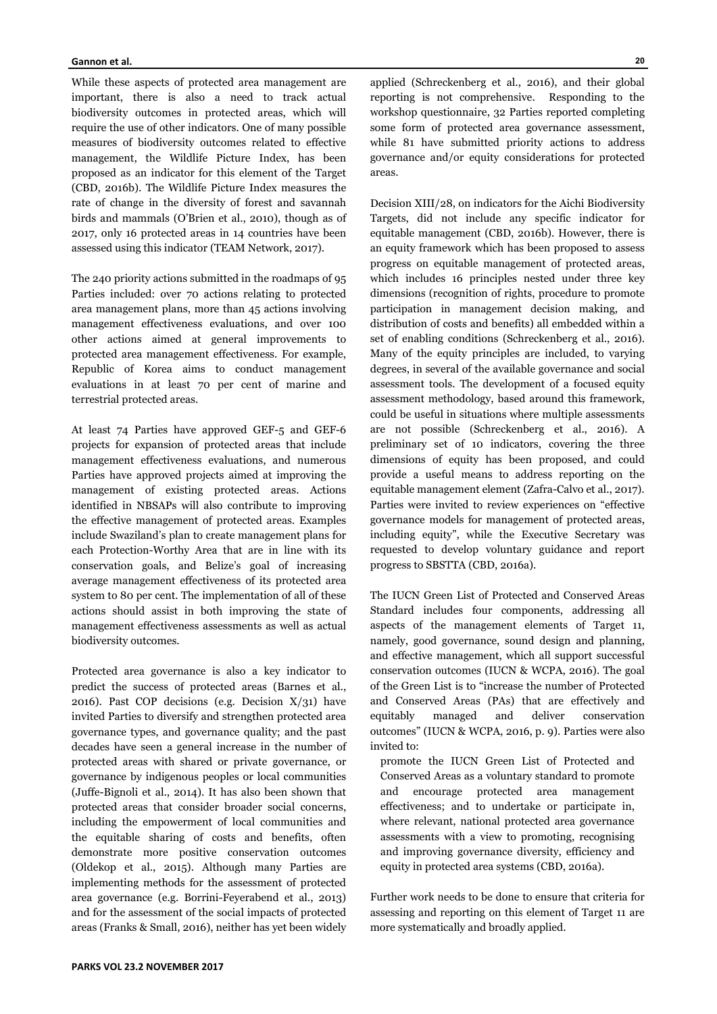While these aspects of protected area management are important, there is also a need to track actual biodiversity outcomes in protected areas, which will require the use of other indicators. One of many possible measures of biodiversity outcomes related to effective management, the Wildlife Picture Index, has been proposed as an indicator for this element of the Target (CBD, 2016b). The Wildlife Picture Index measures the rate of change in the diversity of forest and savannah birds and mammals (O'Brien et al., 2010), though as of 2017, only 16 protected areas in 14 countries have been assessed using this indicator (TEAM Network, 2017).

The 240 priority actions submitted in the roadmaps of 95 Parties included: over 70 actions relating to protected area management plans, more than 45 actions involving management effectiveness evaluations, and over 100 other actions aimed at general improvements to protected area management effectiveness. For example, Republic of Korea aims to conduct management evaluations in at least 70 per cent of marine and terrestrial protected areas.

At least 74 Parties have approved GEF-5 and GEF-6 projects for expansion of protected areas that include management effectiveness evaluations, and numerous Parties have approved projects aimed at improving the management of existing protected areas. Actions identified in NBSAPs will also contribute to improving the effective management of protected areas. Examples include Swaziland's plan to create management plans for each Protection-Worthy Area that are in line with its conservation goals, and Belize's goal of increasing average management effectiveness of its protected area system to 80 per cent. The implementation of all of these actions should assist in both improving the state of management effectiveness assessments as well as actual biodiversity outcomes.

Protected area governance is also a key indicator to predict the success of protected areas (Barnes et al., 2016). Past COP decisions (e.g. Decision  $X/31$ ) have invited Parties to diversify and strengthen protected area governance types, and governance quality; and the past decades have seen a general increase in the number of protected areas with shared or private governance, or governance by indigenous peoples or local communities (Juffe-Bignoli et al., 2014). It has also been shown that protected areas that consider broader social concerns, including the empowerment of local communities and the equitable sharing of costs and benefits, often demonstrate more positive conservation outcomes (Oldekop et al., 2015). Although many Parties are implementing methods for the assessment of protected area governance (e.g. Borrini-Feyerabend et al., 2013) and for the assessment of the social impacts of protected areas (Franks & Small, 2016), neither has yet been widely

applied (Schreckenberg et al., 2016), and their global reporting is not comprehensive. Responding to the workshop questionnaire, 32 Parties reported completing some form of protected area governance assessment, while 81 have submitted priority actions to address governance and/or equity considerations for protected areas.

Decision XIII/28, on indicators for the Aichi Biodiversity Targets, did not include any specific indicator for equitable management (CBD, 2016b). However, there is an equity framework which has been proposed to assess progress on equitable management of protected areas, which includes 16 principles nested under three key dimensions (recognition of rights, procedure to promote participation in management decision making, and distribution of costs and benefits) all embedded within a set of enabling conditions (Schreckenberg et al., 2016). Many of the equity principles are included, to varying degrees, in several of the available governance and social assessment tools. The development of a focused equity assessment methodology, based around this framework, could be useful in situations where multiple assessments are not possible (Schreckenberg et al., 2016). A preliminary set of 10 indicators, covering the three dimensions of equity has been proposed, and could provide a useful means to address reporting on the equitable management element (Zafra-Calvo et al., 2017). Parties were invited to review experiences on "effective governance models for management of protected areas, including equity", while the Executive Secretary was requested to develop voluntary guidance and report progress to SBSTTA (CBD, 2016a).

The IUCN Green List of Protected and Conserved Areas Standard includes four components, addressing all aspects of the management elements of Target 11, namely, good governance, sound design and planning, and effective management, which all support successful conservation outcomes (IUCN & WCPA, 2016). The goal of the Green List is to "increase the number of Protected and Conserved Areas (PAs) that are effectively and equitably managed and deliver conservation outcomes" (IUCN & WCPA, 2016, p. 9). Parties were also invited to:

promote the IUCN Green List of Protected and Conserved Areas as a voluntary standard to promote and encourage protected area management effectiveness; and to undertake or participate in, where relevant, national protected area governance assessments with a view to promoting, recognising and improving governance diversity, efficiency and equity in protected area systems (CBD, 2016a).

Further work needs to be done to ensure that criteria for assessing and reporting on this element of Target 11 are more systematically and broadly applied.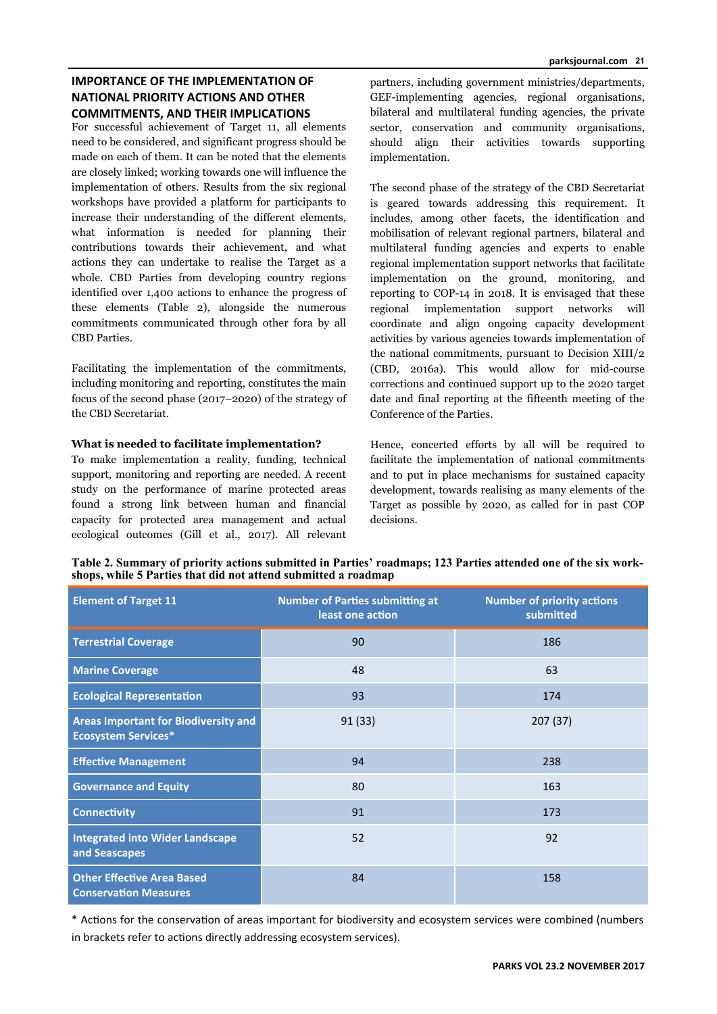# **IMPORTANCE OF THE IMPLEMENTATION OF NATIONAL PRIORITY ACTIONS AND OTHER COMMITMENTS, AND THEIR IMPLICATIONS**

For successful achievement of Target 11, all elements need to be considered, and significant progress should be made on each of them. It can be noted that the elements are closely linked; working towards one will influence the implementation of others. Results from the six regional workshops have provided a platform for participants to increase their understanding of the different elements, what information is needed for planning their contributions towards their achievement, and what actions they can undertake to realise the Target as a whole. CBD Parties from developing country regions identified over 1,400 actions to enhance the progress of these elements (Table 2), alongside the numerous commitments communicated through other fora by all CBD Parties.

Facilitating the implementation of the commitments, including monitoring and reporting, constitutes the main focus of the second phase (2017–2020) of the strategy of the CBD Secretariat.

## **What is needed to facilitate implementation?**

To make implementation a reality, funding, technical support, monitoring and reporting are needed. A recent study on the performance of marine protected areas found a strong link between human and financial capacity for protected area management and actual ecological outcomes (Gill et al., 2017). All relevant

partners, including government ministries/departments, GEF-implementing agencies, regional organisations, bilateral and multilateral funding agencies, the private sector, conservation and community organisations, should align their activities towards supporting implementation.

The second phase of the strategy of the CBD Secretariat is geared towards addressing this requirement. It includes, among other facets, the identification and mobilisation of relevant regional partners, bilateral and multilateral funding agencies and experts to enable regional implementation support networks that facilitate implementation on the ground, monitoring, and reporting to COP-14 in 2018. It is envisaged that these regional implementation support networks will coordinate and align ongoing capacity development activities by various agencies towards implementation of the national commitments, pursuant to Decision XIII/2 (CBD, 2016a). This would allow for mid-course corrections and continued support up to the 2020 target date and final reporting at the fifteenth meeting of the Conference of the Parties.

Hence, concerted efforts by all will be required to facilitate the implementation of national commitments and to put in place mechanisms for sustained capacity development, towards realising as many elements of the Target as possible by 2020, as called for in past COP decisions.

| Table 2. Summary of priority actions submitted in Parties' roadmaps; 123 Parties attended one of the six work- |  |
|----------------------------------------------------------------------------------------------------------------|--|
| shops, while 5 Parties that did not attend submitted a roadmap                                                 |  |

| <b>Element of Target 11</b>                                               | <b>Number of Parties submitting at</b><br>least one action | <b>Number of priority actions</b><br>submitted |
|---------------------------------------------------------------------------|------------------------------------------------------------|------------------------------------------------|
| <b>Terrestrial Coverage</b>                                               | 90                                                         | 186                                            |
| <b>Marine Coverage</b>                                                    | 48                                                         | 63                                             |
| <b>Ecological Representation</b>                                          | 93                                                         | 174                                            |
| <b>Areas Important for Biodiversity and</b><br><b>Ecosystem Services*</b> | 91 (33)                                                    | 207(37)                                        |
| <b>Effective Management</b>                                               | 94                                                         | 238                                            |
| <b>Governance and Equity</b>                                              | 80                                                         | 163                                            |
| <b>Connectivity</b>                                                       | 91                                                         | 173                                            |
| <b>Integrated into Wider Landscape</b><br>and Seascapes                   | 52                                                         | 92                                             |
| <b>Other Effective Area Based</b><br><b>Conservation Measures</b>         | 84                                                         | 158                                            |

\* AcƟons for the conservaƟon of areas important for biodiversity and ecosystem services were combined (numbers in brackets refer to actions directly addressing ecosystem services).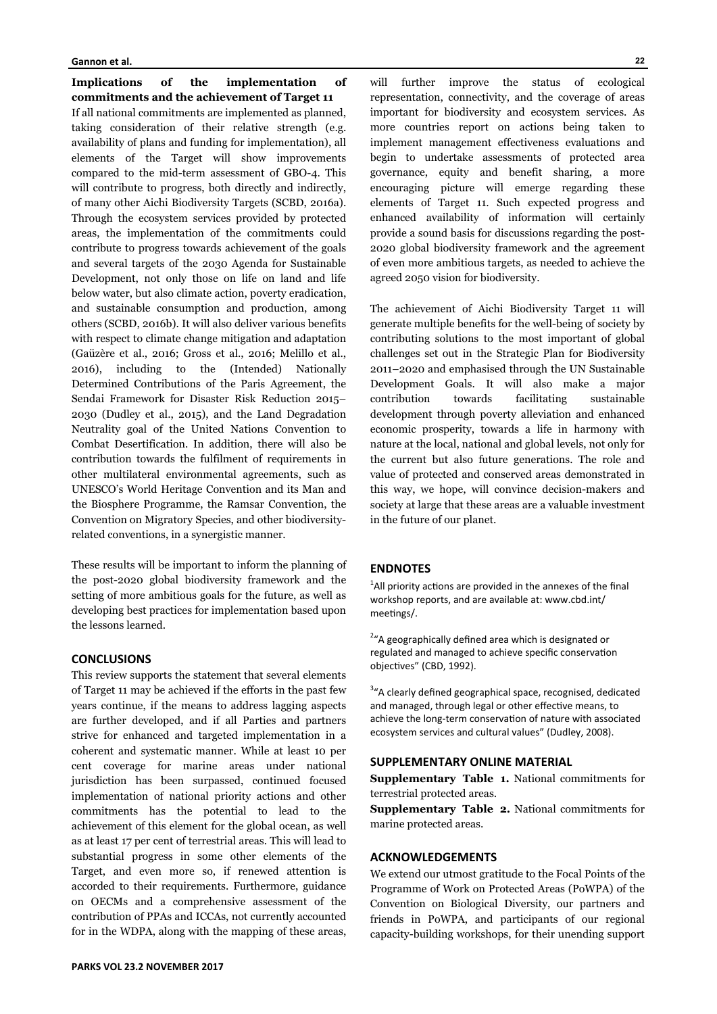**Implications of the implementation of commitments and the achievement of Target 11**  If all national commitments are implemented as planned, taking consideration of their relative strength (e.g. availability of plans and funding for implementation), all elements of the Target will show improvements compared to the mid-term assessment of GBO-4. This will contribute to progress, both directly and indirectly, of many other Aichi Biodiversity Targets (SCBD, 2016a). Through the ecosystem services provided by protected areas, the implementation of the commitments could contribute to progress towards achievement of the goals and several targets of the 2030 Agenda for Sustainable Development, not only those on life on land and life below water, but also climate action, poverty eradication, and sustainable consumption and production, among others (SCBD, 2016b). It will also deliver various benefits with respect to climate change mitigation and adaptation (Gaüzère et al., 2016; Gross et al., 2016; Melillo et al., 2016), including to the (Intended) Nationally Determined Contributions of the Paris Agreement, the Sendai Framework for Disaster Risk Reduction 2015– 2030 (Dudley et al., 2015), and the Land Degradation Neutrality goal of the United Nations Convention to Combat Desertification. In addition, there will also be contribution towards the fulfilment of requirements in other multilateral environmental agreements, such as UNESCO's World Heritage Convention and its Man and the Biosphere Programme, the Ramsar Convention, the Convention on Migratory Species, and other biodiversityrelated conventions, in a synergistic manner.

These results will be important to inform the planning of the post-2020 global biodiversity framework and the setting of more ambitious goals for the future, as well as developing best practices for implementation based upon the lessons learned.

### **CONCLUSIONS**

This review supports the statement that several elements of Target 11 may be achieved if the efforts in the past few years continue, if the means to address lagging aspects are further developed, and if all Parties and partners strive for enhanced and targeted implementation in a coherent and systematic manner. While at least 10 per cent coverage for marine areas under national jurisdiction has been surpassed, continued focused implementation of national priority actions and other commitments has the potential to lead to the achievement of this element for the global ocean, as well as at least 17 per cent of terrestrial areas. This will lead to substantial progress in some other elements of the Target, and even more so, if renewed attention is accorded to their requirements. Furthermore, guidance on OECMs and a comprehensive assessment of the contribution of PPAs and ICCAs, not currently accounted for in the WDPA, along with the mapping of these areas,

will further improve the status of ecological representation, connectivity, and the coverage of areas important for biodiversity and ecosystem services. As more countries report on actions being taken to implement management effectiveness evaluations and begin to undertake assessments of protected area governance, equity and benefit sharing, a more encouraging picture will emerge regarding these elements of Target 11. Such expected progress and enhanced availability of information will certainly provide a sound basis for discussions regarding the post-2020 global biodiversity framework and the agreement of even more ambitious targets, as needed to achieve the agreed 2050 vision for biodiversity.

The achievement of Aichi Biodiversity Target 11 will generate multiple benefits for the well-being of society by contributing solutions to the most important of global challenges set out in the Strategic Plan for Biodiversity 2011–2020 and emphasised through the UN Sustainable Development Goals. It will also make a major contribution towards facilitating sustainable development through poverty alleviation and enhanced economic prosperity, towards a life in harmony with nature at the local, national and global levels, not only for the current but also future generations. The role and value of protected and conserved areas demonstrated in this way, we hope, will convince decision-makers and society at large that these areas are a valuable investment in the future of our planet.

## **ENDNOTES**

 $<sup>1</sup>$ All priority actions are provided in the annexes of the final</sup> workshop reports, and are available at: www.cbd.int/ meetings/.

<sup>2</sup>"A geographically defined area which is designated or regulated and managed to achieve specific conservation objectives" (CBD, 1992).

<sup>3</sup>"A clearly defined geographical space, recognised, dedicated and managed, through legal or other effective means, to achieve the long-term conservation of nature with associated ecosystem services and cultural values" (Dudley, 2008).

# **SUPPLEMENTARY ONLINE MATERIAL**

**Supplementary Table 1.** National commitments for terrestrial protected areas.

**Supplementary Table 2.** National commitments for marine protected areas.

### **ACKNOWLEDGEMENTS**

We extend our utmost gratitude to the Focal Points of the Programme of Work on Protected Areas (PoWPA) of the Convention on Biological Diversity, our partners and friends in PoWPA, and participants of our regional capacity-building workshops, for their unending support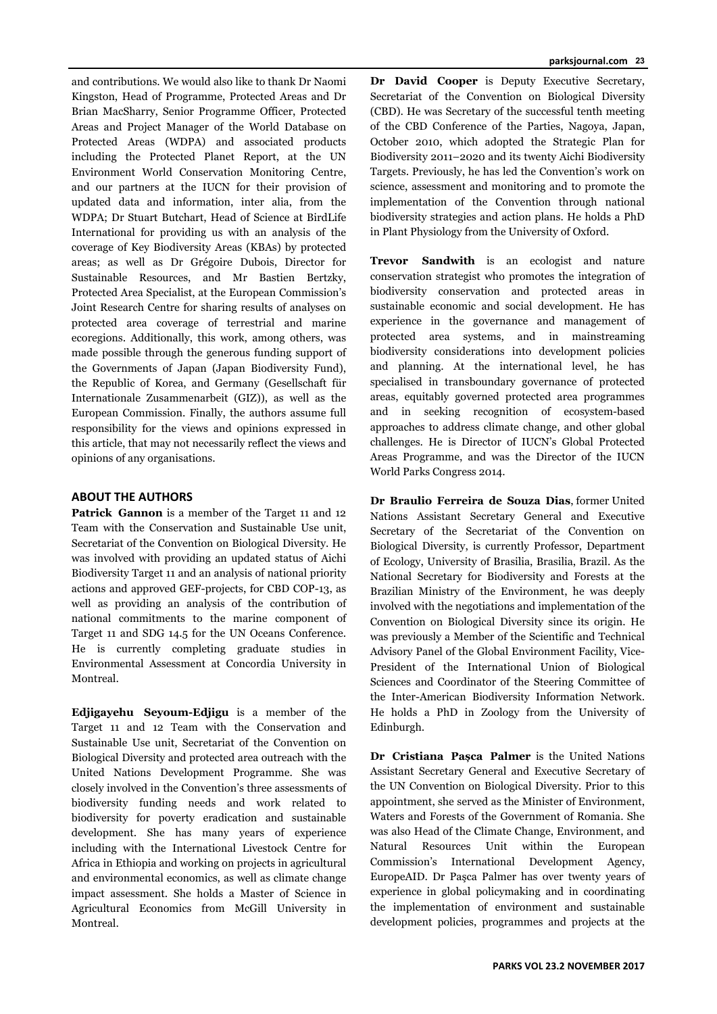and contributions. We would also like to thank Dr Naomi Kingston, Head of Programme, Protected Areas and Dr Brian MacSharry, Senior Programme Officer, Protected Areas and Project Manager of the World Database on Protected Areas (WDPA) and associated products including the Protected Planet Report, at the UN Environment World Conservation Monitoring Centre, and our partners at the IUCN for their provision of updated data and information, inter alia, from the WDPA; Dr Stuart Butchart, Head of Science at BirdLife International for providing us with an analysis of the coverage of Key Biodiversity Areas (KBAs) by protected areas; as well as Dr Grégoire Dubois, Director for Sustainable Resources, and Mr Bastien Bertzky, Protected Area Specialist, at the European Commission's Joint Research Centre for sharing results of analyses on protected area coverage of terrestrial and marine ecoregions. Additionally, this work, among others, was made possible through the generous funding support of the Governments of Japan (Japan Biodiversity Fund), the Republic of Korea, and Germany (Gesellschaft für Internationale Zusammenarbeit (GIZ)), as well as the European Commission. Finally, the authors assume full responsibility for the views and opinions expressed in this article, that may not necessarily reflect the views and opinions of any organisations.

# **ABOUT THE AUTHORS**

**Patrick Gannon** is a member of the Target 11 and 12 Team with the Conservation and Sustainable Use unit, Secretariat of the Convention on Biological Diversity. He was involved with providing an updated status of Aichi Biodiversity Target 11 and an analysis of national priority actions and approved GEF-projects, for CBD COP-13, as well as providing an analysis of the contribution of national commitments to the marine component of Target 11 and SDG 14.5 for the UN Oceans Conference. He is currently completing graduate studies in Environmental Assessment at Concordia University in Montreal.

**Edjigayehu Seyoum-Edjigu** is a member of the Target 11 and 12 Team with the Conservation and Sustainable Use unit, Secretariat of the Convention on Biological Diversity and protected area outreach with the United Nations Development Programme. She was closely involved in the Convention's three assessments of biodiversity funding needs and work related to biodiversity for poverty eradication and sustainable development. She has many years of experience including with the International Livestock Centre for Africa in Ethiopia and working on projects in agricultural and environmental economics, as well as climate change impact assessment. She holds a Master of Science in Agricultural Economics from McGill University in Montreal.

**Dr David Cooper** is Deputy Executive Secretary, Secretariat of the Convention on Biological Diversity (CBD). He was Secretary of the successful tenth meeting of the CBD Conference of the Parties, Nagoya, Japan, October 2010, which adopted the Strategic Plan for Biodiversity 2011–2020 and its twenty Aichi Biodiversity Targets. Previously, he has led the Convention's work on science, assessment and monitoring and to promote the implementation of the Convention through national biodiversity strategies and action plans. He holds a PhD in Plant Physiology from the University of Oxford.

**Trevor Sandwith** is an ecologist and nature conservation strategist who promotes the integration of biodiversity conservation and protected areas in sustainable economic and social development. He has experience in the governance and management of protected area systems, and in mainstreaming biodiversity considerations into development policies and planning. At the international level, he has specialised in transboundary governance of protected areas, equitably governed protected area programmes and in seeking recognition of ecosystem-based approaches to address climate change, and other global challenges. He is Director of IUCN's Global Protected Areas Programme, and was the Director of the IUCN World Parks Congress 2014.

**Dr Braulio Ferreira de Souza Dias**, former United Nations Assistant Secretary General and Executive Secretary of the Secretariat of the Convention on Biological Diversity, is currently Professor, Department of Ecology, University of Brasilia, Brasilia, Brazil. As the National Secretary for Biodiversity and Forests at the Brazilian Ministry of the Environment, he was deeply involved with the negotiations and implementation of the Convention on Biological Diversity since its origin. He was previously a Member of the Scientific and Technical Advisory Panel of the Global Environment Facility, Vice-President of the International Union of Biological Sciences and Coordinator of the Steering Committee of the Inter-American Biodiversity Information Network. He holds a PhD in Zoology from the University of Edinburgh.

**Dr Cristiana Pașca Palmer** is the United Nations Assistant Secretary General and Executive Secretary of the UN Convention on Biological Diversity. Prior to this appointment, she served as the Minister of Environment, Waters and Forests of the Government of Romania. She was also Head of the Climate Change, Environment, and Natural Resources Unit within the European Commission's International Development Agency, EuropeAID. Dr Paşca Palmer has over twenty years of experience in global policymaking and in coordinating the implementation of environment and sustainable development policies, programmes and projects at the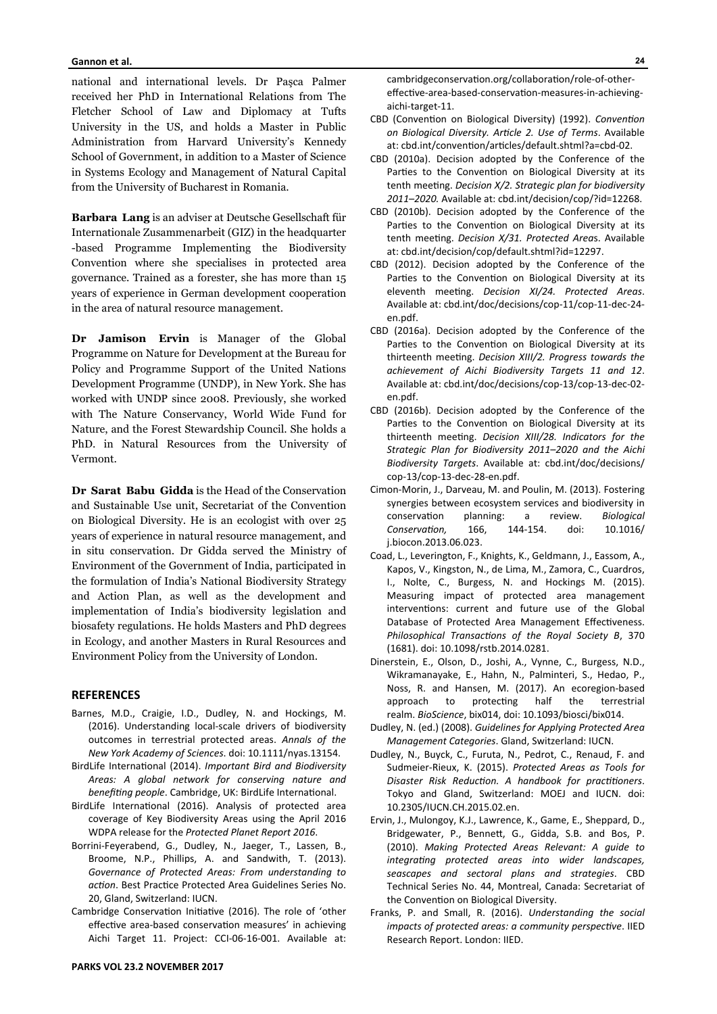national and international levels. Dr Paşca Palmer received her PhD in International Relations from The Fletcher School of Law and Diplomacy at Tufts University in the US, and holds a Master in Public Administration from Harvard University's Kennedy School of Government, in addition to a Master of Science in Systems Ecology and Management of Natural Capital from the University of Bucharest in Romania.

**Barbara Lang** is an adviser at Deutsche Gesellschaft für Internationale Zusammenarbeit (GIZ) in the headquarter -based Programme Implementing the Biodiversity Convention where she specialises in protected area governance. Trained as a forester, she has more than 15 years of experience in German development cooperation in the area of natural resource management.

**Dr Jamison Ervin** is Manager of the Global Programme on Nature for Development at the Bureau for Policy and Programme Support of the United Nations Development Programme (UNDP), in New York. She has worked with UNDP since 2008. Previously, she worked with The Nature Conservancy, World Wide Fund for Nature, and the Forest Stewardship Council. She holds a PhD. in Natural Resources from the University of Vermont.

**Dr Sarat Babu Gidda** is the Head of the Conservation and Sustainable Use unit, Secretariat of the Convention on Biological Diversity. He is an ecologist with over 25 years of experience in natural resource management, and in situ conservation. Dr Gidda served the Ministry of Environment of the Government of India, participated in the formulation of India's National Biodiversity Strategy and Action Plan, as well as the development and implementation of India's biodiversity legislation and biosafety regulations. He holds Masters and PhD degrees in Ecology, and another Masters in Rural Resources and Environment Policy from the University of London.

### **REFERENCES**

- Barnes, M.D., Craigie, I.D., Dudley, N. and Hockings, M. (2016). Understanding local-scale drivers of biodiversity outcomes in terrestrial protected areas. *Annals of the New York Academy of Sciences*. doi: 10.1111/nyas.13154.
- BirdLife InternaƟonal (2014). *Important Bird and Biodiversity Areas: A global network for conserving nature and benefiting people*. Cambridge, UK: BirdLife International.
- BirdLife International (2016). Analysis of protected area coverage of Key Biodiversity Areas using the April 2016 WDPA release for the *Protected Planet Report 2016*.
- Borrini-Feyerabend, G., Dudley, N., Jaeger, T., Lassen, B., Broome, N.P., Phillips, A. and Sandwith, T. (2013). *Governance of Protected Areas: From understanding to acƟon*. Best PracƟce Protected Area Guidelines Series No. 20, Gland, Switzerland: IUCN.
- Cambridge Conservation Initiative (2016). The role of 'other effective area-based conservation measures' in achieving Aichi Target 11. Project: CCI-06-16-001. Available at:

cambridgeconservation.org/collaboration/role-of-othereffective-area-based-conservation-measures-in-achievingaichi-target-11.

- CBD (Convention on Biological Diversity) (1992). *Convention on Biological Diversity. ArƟcle 2. Use of Terms*. Available at: cbd.int/convention/articles/default.shtml?a=cbd-02.
- CBD (2010a). Decision adopted by the Conference of the Parties to the Convention on Biological Diversity at its tenth meeting. *Decision X/2. Strategic plan for biodiversity 2011–2020.* Available at: cbd.int/decision/cop/?id=12268.
- CBD (2010b). Decision adopted by the Conference of the Parties to the Convention on Biological Diversity at its tenth meeting. *Decision X/31. Protected Areas*. Available at: cbd.int/decision/cop/default.shtml?id=12297.
- CBD (2012). Decision adopted by the Conference of the Parties to the Convention on Biological Diversity at its eleventh meeting. *Decision XI/24. Protected Areas*. Available at: cbd.int/doc/decisions/cop-11/cop-11-dec-24 en.pdf.
- CBD (2016a). Decision adopted by the Conference of the Parties to the Convention on Biological Diversity at its thirteenth meeƟng. *Decision XIII/2. Progress towards the achievement of Aichi Biodiversity Targets 11 and 12*. Available at: cbd.int/doc/decisions/cop-13/cop-13-dec-02 en.pdf.
- CBD (2016b). Decision adopted by the Conference of the Parties to the Convention on Biological Diversity at its thirteenth meeƟng. *Decision XIII/28. Indicators for the Strategic Plan for Biodiversity 2011–2020 and the Aichi Biodiversity Targets*. Available at: cbd.int/doc/decisions/ cop-13/cop-13-dec-28-en.pdf.
- Cimon-Morin, J., Darveau, M. and Poulin, M. (2013). Fostering synergies between ecosystem services and biodiversity in conservation planning: a review. Biological *ConservaƟon,* 166, 144-154. doi: 10.1016/ j.biocon.2013.06.023.
- Coad, L., Leverington, F., Knights, K., Geldmann, J., Eassom, A., Kapos, V., Kingston, N., de Lima, M., Zamora, C., Cuardros, I., Nolte, C., Burgess, N. and Hockings M. (2015). Measuring impact of protected area management interventions: current and future use of the Global Database of Protected Area Management Effectiveness. Philosophical Transactions of the Royal Society B, 370 (1681). doi: 10.1098/rstb.2014.0281.
- Dinerstein, E., Olson, D., Joshi, A., Vynne, C., Burgess, N.D., Wikramanayake, E., Hahn, N., Palminteri, S., Hedao, P., Noss, R. and Hansen, M. (2017). An ecoregion-based approach to protecting half the terrestrial realm. *BioScience*, bix014, doi: 10.1093/biosci/bix014.
- Dudley, N. (ed.) (2008). *Guidelines for Applying Protected Area Management Categories*. Gland, Switzerland: IUCN.
- Dudley, N., Buyck, C., Furuta, N., Pedrot, C., Renaud, F. and Sudmeier-Rieux, K. (2015). *Protected Areas as Tools for Disaster Risk ReducƟon. A handbook for pracƟƟoners*. Tokyo and Gland, Switzerland: MOEJ and IUCN. doi: 10.2305/IUCN.CH.2015.02.en.
- Ervin, J., Mulongoy, K.J., Lawrence, K., Game, E., Sheppard, D., Bridgewater, P., Bennett, G., Gidda, S.B. and Bos, P. (2010). *Making Protected Areas Relevant: A guide to integraƟng protected areas into wider landscapes, seascapes and sectoral plans and strategies*. CBD Technical Series No. 44, Montreal, Canada: Secretariat of the Convention on Biological Diversity.
- Franks, P. and Small, R. (2016). *Understanding the social impacts of protected areas: a community perspective.* IIED Research Report. London: IIED.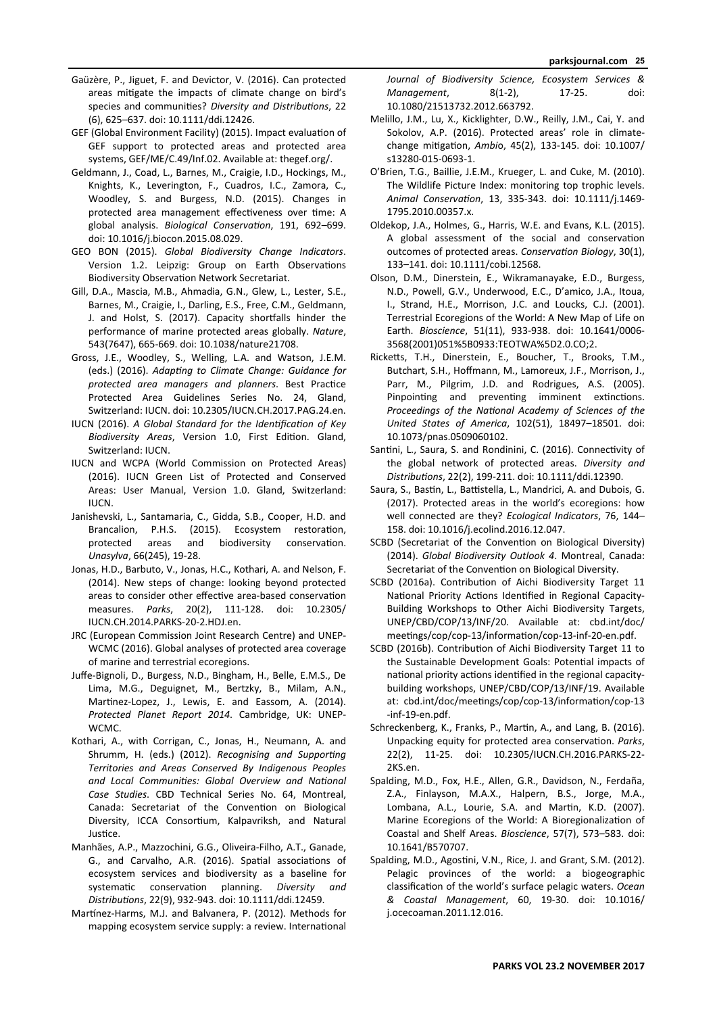- Gaüzère, P., Jiguet, F. and Devictor, V. (2016). Can protected areas mitigate the impacts of climate change on bird's species and communities? *Diversity and Distributions*, 22 (6), 625–637. doi: 10.1111/ddi.12426.
- GEF (Global Environment Facility) (2015). Impact evaluation of GEF support to protected areas and protected area systems, GEF/ME/C.49/Inf.02. Available at: thegef.org/.
- Geldmann, J., Coad, L., Barnes, M., Craigie, I.D., Hockings, M., Knights, K., Leverington, F., Cuadros, I.C., Zamora, C., Woodley, S. and Burgess, N.D. (2015). Changes in protected area management effectiveness over time: A global analysis. *Biological ConservaƟon*, 191, 692–699. doi: 10.1016/j.biocon.2015.08.029.
- GEO BON (2015). *Global Biodiversity Change Indicators*. Version 1.2. Leipzig: Group on Earth Observations Biodiversity Observation Network Secretariat.
- Gill, D.A., Mascia, M.B., Ahmadia, G.N., Glew, L., Lester, S.E., Barnes, M., Craigie, I., Darling, E.S., Free, C.M., Geldmann, J. and Holst, S. (2017). Capacity shortfalls hinder the performance of marine protected areas globally. *Nature*, 543(7647), 665-669. doi: 10.1038/nature21708.
- Gross, J.E., Woodley, S., Welling, L.A. and Watson, J.E.M. (eds.) (2016). *AdapƟng to Climate Change: Guidance for protected area managers and planners*. Best PracƟce Protected Area Guidelines Series No. 24, Gland, Switzerland: IUCN. doi: 10.2305/IUCN.CH.2017.PAG.24.en.
- IUCN (2016). A Global Standard for the Identification of Key Biodiversity Areas, Version 1.0, First Edition. Gland, Switzerland: IUCN.
- IUCN and WCPA (World Commission on Protected Areas) (2016). IUCN Green List of Protected and Conserved Areas: User Manual, Version 1.0. Gland, Switzerland: IUCN.
- Janishevski, L., Santamaria, C., Gidda, S.B., Cooper, H.D. and Brancalion, P.H.S. (2015). Ecosystem restoration, protected areas and biodiversity conservation. *Unasylva*, 66(245), 19-28.
- Jonas, H.D., Barbuto, V., Jonas, H.C., Kothari, A. and Nelson, F. (2014). New steps of change: looking beyond protected areas to consider other effective area-based conservation measures. *Parks*, 20(2), 111-128. doi: 10.2305/ IUCN.CH.2014.PARKS-20-2.HDJ.en.
- JRC (European Commission Joint Research Centre) and UNEP-WCMC (2016). Global analyses of protected area coverage of marine and terrestrial ecoregions.
- Juffe-Bignoli, D., Burgess, N.D., Bingham, H., Belle, E.M.S., De Lima, M.G., Deguignet, M., Bertzky, B., Milam, A.N., Martinez-Lopez, J., Lewis, E. and Eassom, A. (2014). *Protected Planet Report 2014*. Cambridge, UK: UNEP-WCMC.
- Kothari, A., with Corrigan, C., Jonas, H., Neumann, A. and Shrumm, H. (eds.) (2012). Recognising and Supporting *Territories and Areas Conserved By Indigenous Peoples and Local CommuniƟes: Global Overview and NaƟonal Case Studies*. CBD Technical Series No. 64, Montreal, Canada: Secretariat of the Convention on Biological Diversity, ICCA Consortium, Kalpavriksh, and Natural Justice.
- Manhães, A.P., Mazzochini, G.G., Oliveira-Filho, A.T., Ganade, G., and Carvalho, A.R. (2016). Spatial associations of ecosystem services and biodiversity as a baseline for systematic conservation planning. Diversity and *DistribuƟons*, 22(9), 932-943. doi: 10.1111/ddi.12459.
- Martínez-Harms, M.J. and Balvanera, P. (2012). Methods for mapping ecosystem service supply: a review. International

*Journal of Biodiversity Science, Ecosystem Services & Management*, 8(1-2), 17-25. doi: 10.1080/21513732.2012.663792.

- Melillo, J.M., Lu, X., Kicklighter, D.W., Reilly, J.M., Cai, Y. and Sokolov, A.P. (2016). Protected areas' role in climatechange miƟgaƟon, *Ambi*o, 45(2), 133-145. doi: 10.1007/ s13280-015-0693-1.
- O'Brien, T.G., Baillie, J.E.M., Krueger, L. and Cuke, M. (2010). The Wildlife Picture Index: monitoring top trophic levels. *Animal ConservaƟon*, 13, 335-343. doi: 10.1111/j.1469- 1795.2010.00357.x.
- Oldekop, J.A., Holmes, G., Harris, W.E. and Evans, K.L. (2015). A global assessment of the social and conservation outcomes of protected areas. *ConservaƟon Biology*, 30(1), 133–141. doi: 10.1111/cobi.12568.
- Olson, D.M., Dinerstein, E., Wikramanayake, E.D., Burgess, N.D., Powell, G.V., Underwood, E.C., D'amico, J.A., Itoua, I., Strand, H.E., Morrison, J.C. and Loucks, C.J. (2001). Terrestrial Ecoregions of the World: A New Map of Life on Earth. *Bioscience*, 51(11), 933-938. doi: 10.1641/0006- 3568(2001)051%5B0933:TEOTWA%5D2.0.CO;2.
- Ricketts, T.H., Dinerstein, E., Boucher, T., Brooks, T.M., Butchart, S.H., Hoffmann, M., Lamoreux, J.F., Morrison, J., Parr, M., Pilgrim, J.D. and Rodrigues, A.S. (2005). Pinpointing and preventing imminent extinctions. Proceedings of the National Academy of Sciences of the *United States of America*, 102(51), 18497–18501. doi: 10.1073/pnas.0509060102.
- Santini, L., Saura, S. and Rondinini, C. (2016). Connectivity of the global network of protected areas. *Diversity and DistribuƟons*, 22(2), 199-211. doi: 10.1111/ddi.12390.
- Saura, S., Bastin, L., Battistella, L., Mandrici, A. and Dubois, G. (2017). Protected areas in the world's ecoregions: how well connected are they? *Ecological Indicators*, 76, 144– 158. doi: 10.1016/j.ecolind.2016.12.047.
- SCBD (Secretariat of the Convention on Biological Diversity) (2014). *Global Biodiversity Outlook 4*. Montreal, Canada: Secretariat of the Convention on Biological Diversity.
- SCBD (2016a). Contribution of Aichi Biodiversity Target 11 National Priority Actions Identified in Regional Capacity-Building Workshops to Other Aichi Biodiversity Targets, UNEP/CBD/COP/13/INF/20. Available at: cbd.int/doc/ meetings/cop/cop-13/information/cop-13-inf-20-en.pdf.
- SCBD (2016b). Contribution of Aichi Biodiversity Target 11 to the Sustainable Development Goals: Potential impacts of national priority actions identified in the regional capacitybuilding workshops, UNEP/CBD/COP/13/INF/19. Available at: cbd.int/doc/meetings/cop/cop-13/information/cop-13 -inf-19-en.pdf.
- Schreckenberg, K., Franks, P., Martin, A., and Lang, B. (2016). Unpacking equity for protected area conservation. Parks, 22(2), 11-25. doi: 10.2305/IUCN.CH.2016.PARKS-22- 2KS.en.
- Spalding, M.D., Fox, H.E., Allen, G.R., Davidson, N., Ferdaña, Z.A., Finlayson, M.A.X., Halpern, B.S., Jorge, M.A., Lombana, A.L., Lourie, S.A. and Martin, K.D. (2007). Marine Ecoregions of the World: A Bioregionalization of Coastal and Shelf Areas. *Bioscience*, 57(7), 573–583. doi: 10.1641/B570707.
- Spalding, M.D., Agostini, V.N., Rice, J. and Grant, S.M. (2012). Pelagic provinces of the world: a biogeographic classification of the world's surface pelagic waters. Ocean *& Coastal Management*, 60, 19-30. doi: 10.1016/ j.ocecoaman.2011.12.016.